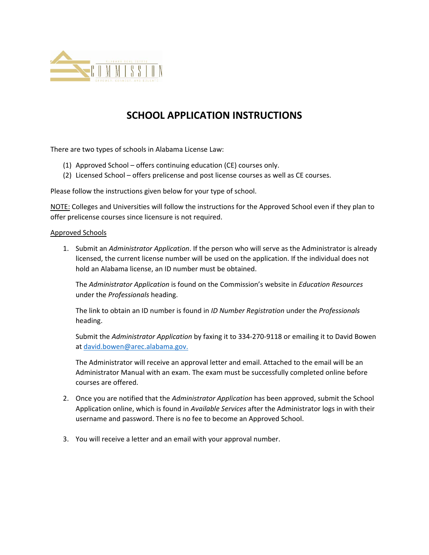

## **SCHOOL APPLICATION INSTRUCTIONS**

There are two types of schools in Alabama License Law:

- (1) Approved School offers continuing education (CE) courses only.
- (2) Licensed School offers prelicense and post license courses as well as CE courses.

Please follow the instructions given below for your type of school.

NOTE: Colleges and Universities will follow the instructions for the Approved School even if they plan to offer prelicense courses since licensure is not required.

## Approved Schools

1. Submit an *Administrator Application*. If the person who will serve as the Administrator is already licensed, the current license number will be used on the application. If the individual does not hold an Alabama license, an ID number must be obtained.

The *Administrator Application* is found on the Commission's website in *Education Resources* under the *Professionals* heading.

The link to obtain an ID number is found in *ID Number Registration* under the *Professionals* heading.

Submit the *Administrator Application* by faxing it to 334‐270‐9118 or emailing it to David Bowen at david.bowen@arec.alabama.gov.

The Administrator will receive an approval letter and email. Attached to the email will be an Administrator Manual with an exam. The exam must be successfully completed online before courses are offered.

- 2. Once you are notified that the *Administrator Application* has been approved, submit the School Application online, which is found in *Available Services* after the Administrator logs in with their username and password. There is no fee to become an Approved School.
- 3. You will receive a letter and an email with your approval number.